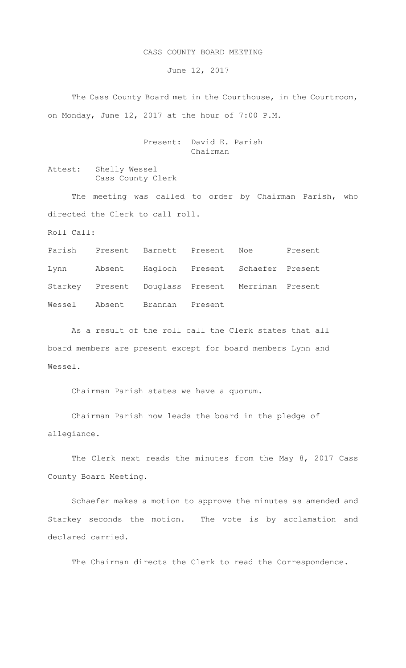## CASS COUNTY BOARD MEETING

June 12, 2017

The Cass County Board met in the Courthouse, in the Courtroom, on Monday, June 12, 2017 at the hour of 7:00 P.M.

> Present: David E. Parish Chairman

Attest: Shelly Wessel Cass County Clerk

The meeting was called to order by Chairman Parish, who directed the Clerk to call roll.

Roll Call:

Parish Present Barnett Present Noe Present Lynn Absent Hagloch Present Schaefer Present Starkey Present Douglass Present Merriman Present Wessel Absent Brannan Present

As a result of the roll call the Clerk states that all board members are present except for board members Lynn and Wessel.

Chairman Parish states we have a quorum.

Chairman Parish now leads the board in the pledge of allegiance.

The Clerk next reads the minutes from the May 8, 2017 Cass County Board Meeting.

Schaefer makes a motion to approve the minutes as amended and Starkey seconds the motion. The vote is by acclamation and declared carried.

The Chairman directs the Clerk to read the Correspondence.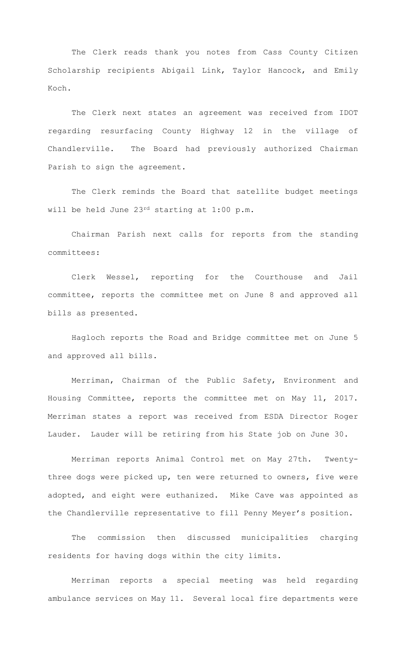The Clerk reads thank you notes from Cass County Citizen Scholarship recipients Abigail Link, Taylor Hancock, and Emily Koch.

The Clerk next states an agreement was received from IDOT regarding resurfacing County Highway 12 in the village of Chandlerville. The Board had previously authorized Chairman Parish to sign the agreement.

The Clerk reminds the Board that satellite budget meetings will be held June 23rd starting at 1:00 p.m.

Chairman Parish next calls for reports from the standing committees:

Clerk Wessel, reporting for the Courthouse and Jail committee, reports the committee met on June 8 and approved all bills as presented.

Hagloch reports the Road and Bridge committee met on June 5 and approved all bills.

Merriman, Chairman of the Public Safety, Environment and Housing Committee, reports the committee met on May 11, 2017. Merriman states a report was received from ESDA Director Roger Lauder. Lauder will be retiring from his State job on June 30.

Merriman reports Animal Control met on May 27th. Twentythree dogs were picked up, ten were returned to owners, five were adopted, and eight were euthanized. Mike Cave was appointed as the Chandlerville representative to fill Penny Meyer's position.

The commission then discussed municipalities charging residents for having dogs within the city limits.

Merriman reports a special meeting was held regarding ambulance services on May 11. Several local fire departments were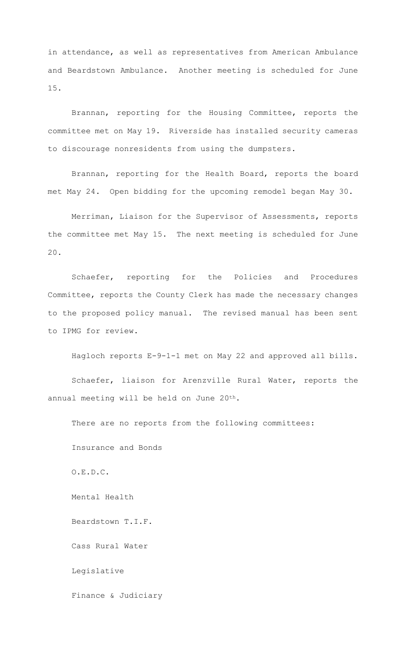in attendance, as well as representatives from American Ambulance and Beardstown Ambulance. Another meeting is scheduled for June 15.

Brannan, reporting for the Housing Committee, reports the committee met on May 19. Riverside has installed security cameras to discourage nonresidents from using the dumpsters.

Brannan, reporting for the Health Board, reports the board met May 24. Open bidding for the upcoming remodel began May 30.

Merriman, Liaison for the Supervisor of Assessments, reports the committee met May 15. The next meeting is scheduled for June 20.

Schaefer, reporting for the Policies and Procedures Committee, reports the County Clerk has made the necessary changes to the proposed policy manual. The revised manual has been sent to IPMG for review.

Hagloch reports E-9-1-1 met on May 22 and approved all bills.

Schaefer, liaison for Arenzville Rural Water, reports the annual meeting will be held on June 20<sup>th</sup>.

There are no reports from the following committees:

Insurance and Bonds

O.E.D.C.

Mental Health

Beardstown T.I.F.

Cass Rural Water

Legislative

Finance & Judiciary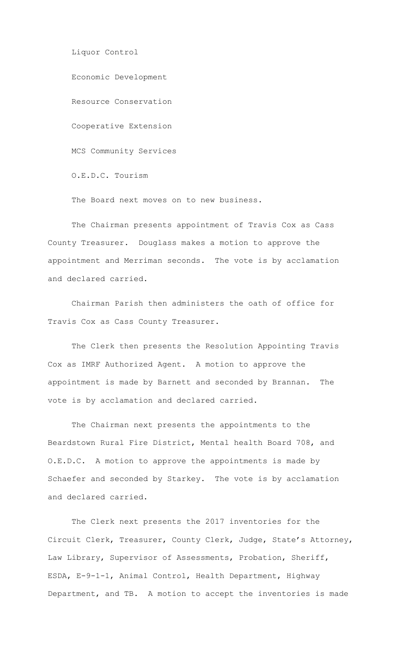Liquor Control Economic Development Resource Conservation Cooperative Extension MCS Community Services O.E.D.C. Tourism

The Board next moves on to new business.

The Chairman presents appointment of Travis Cox as Cass County Treasurer. Douglass makes a motion to approve the appointment and Merriman seconds. The vote is by acclamation and declared carried.

Chairman Parish then administers the oath of office for Travis Cox as Cass County Treasurer.

The Clerk then presents the Resolution Appointing Travis Cox as IMRF Authorized Agent. A motion to approve the appointment is made by Barnett and seconded by Brannan. The vote is by acclamation and declared carried.

The Chairman next presents the appointments to the Beardstown Rural Fire District, Mental health Board 708, and O.E.D.C. A motion to approve the appointments is made by Schaefer and seconded by Starkey. The vote is by acclamation and declared carried.

The Clerk next presents the 2017 inventories for the Circuit Clerk, Treasurer, County Clerk, Judge, State's Attorney, Law Library, Supervisor of Assessments, Probation, Sheriff, ESDA, E-9-1-1, Animal Control, Health Department, Highway Department, and TB. A motion to accept the inventories is made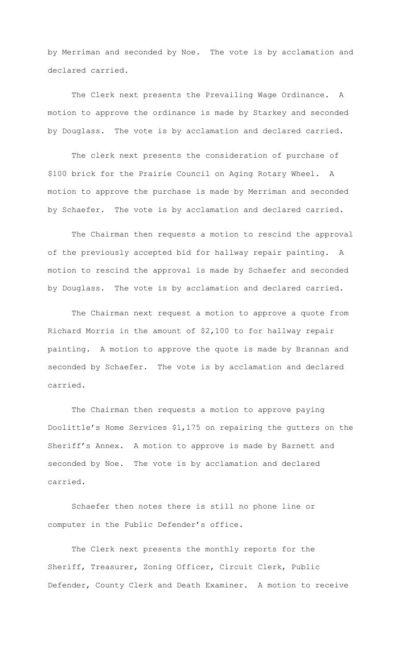by Merriman and seconded by Noe. The vote is by acclamation and declared carried.

The Clerk next presents the Prevailing Wage Ordinance. A motion to approve the ordinance is made by Starkey and seconded by Douglass. The vote is by acclamation and declared carried.

The clerk next presents the consideration of purchase of \$100 brick for the Prairie Council on Aging Rotary Wheel. A motion to approve the purchase is made by Merriman and seconded by Schaefer. The vote is by acclamation and declared carried.

The Chairman then requests a motion to rescind the approval of the previously accepted bid for hallway repair painting. A motion to rescind the approval is made by Schaefer and seconded by Douglass. The vote is by acclamation and declared carried.

The Chairman next request a motion to approve a quote from Richard Morris in the amount of \$2,100 to for hallway repair painting. A motion to approve the quote is made by Brannan and seconded by Schaefer. The vote is by acclamation and declared carried.

The Chairman then requests a motion to approve paying Doolittle's Home Services \$1,175 on repairing the gutters on the Sheriff's Annex. A motion to approve is made by Barnett and seconded by Noe. The vote is by acclamation and declared carried.

Schaefer then notes there is still no phone line or computer in the Public Defender's office.

The Clerk next presents the monthly reports for the Sheriff, Treasurer, Zoning Officer, Circuit Clerk, Public Defender, County Clerk and Death Examiner. A motion to receive